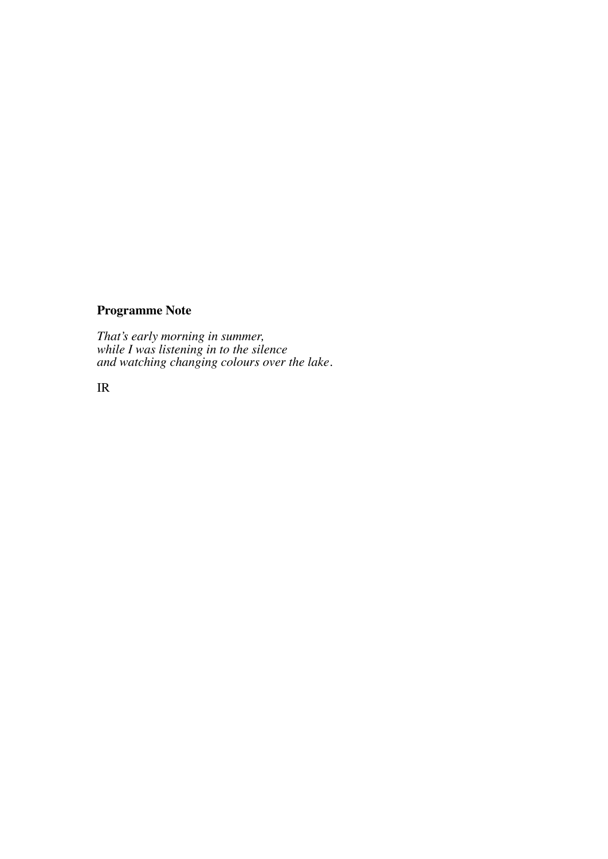## **Programme Note**

*That's early morning in summer, while I was listening in to the silence and watching changing colours over the lake.*

IR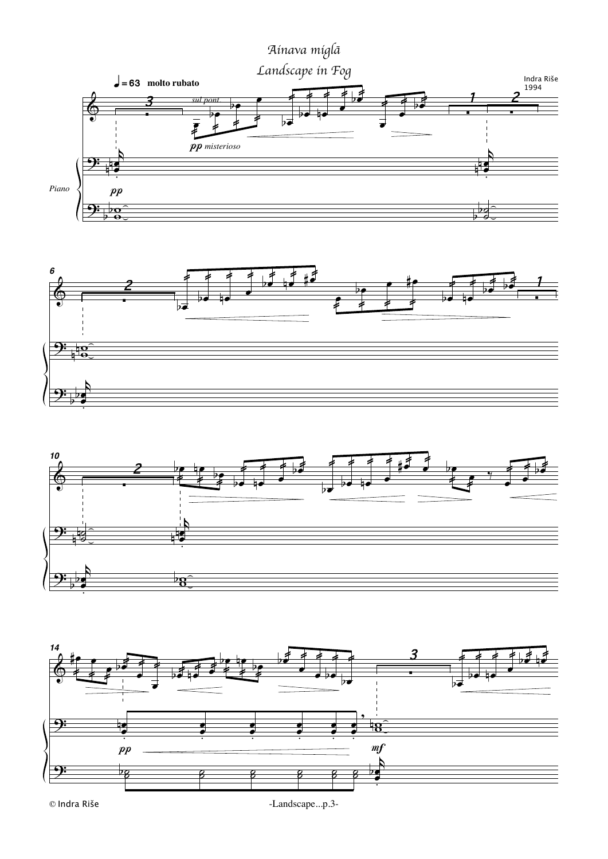







<sup>-</sup>Landscape...p.3-